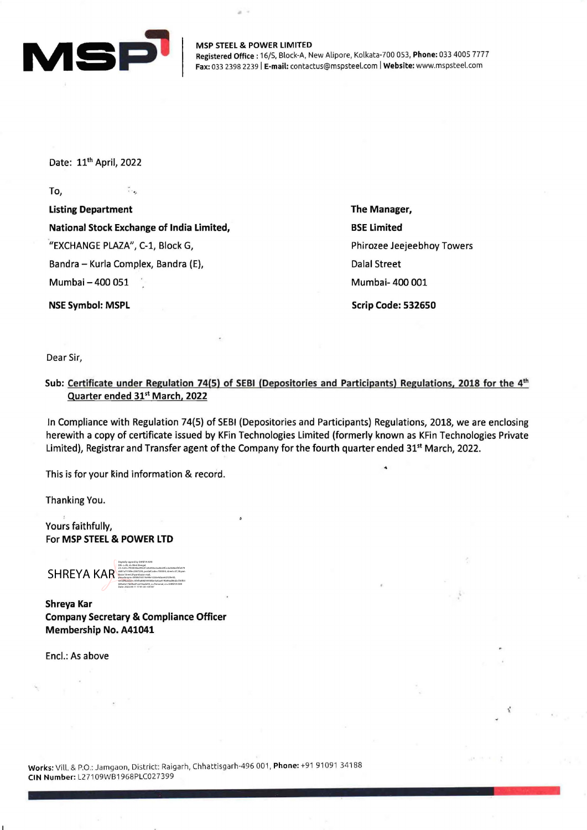

MSP STEEL & POWER LIMITED Registered Office: 16/S, Block-A, New Alipore, Kolkata-700 053, Phone: 033 4005 7777 Fax: 033 2398 2239 | E-mail: contactus@mspsteel.com | Website: www.mspsteel.com

Date: 11th April, 2022

To,

Listing Department National Stock Exchange of India Limited, "EXCHANGE PLAZA", C-1, Block G, Bandra - Kurla Complex, Bandra (E), Mumbai - 400 051

 $\tilde{\cdot}$ 

NSE Symbol: MSPL

The Manager, BSE Limited Phirozee Jeejeebhoy Towers Dalal Street Mumbai- 400 001 Scrip Code: 532650

.•

 $\mathbf{v} \cdot \mathbf{A} \mathbf{v} \cdot \mathbf{v}_{\mathbf{A}} = \mathbf{v}_{\mathbf{A}} \cdot \mathbf{v}_{\mathbf{A}}$ 

Dear Sir,

Sub: Certificate under Regulation 74(5) of SEBI (Depositories and Participants) Regulations, 2018 for the 4<sup>th</sup> Quarter ended 31<sup>st</sup> March, 2022

In Compliance with Regulation 74(5) of SEBI (Depositories and Participants) Regulations, 2018, we are enclosing herewith a copy of certificate issued by KFin Technologies Limited (formerly known as KFin Technologies Private Limited), Registrar and Transfer agent of the Company for the fourth quarter ended 31<sup>st</sup> March, 2022.

This is for your kind information & record.

Thanking You.

Yours faithfully, For MSP STEEL & POWER LTD

SHREYA KAR Digitally signed by SHREYA KAR DN: c=IN, st=West Bengal, 2.5.4.20=7950044a299c01e4e056c2ac8e24fcc2a568eef3fe479 dd01a7518fec2587239, postalCode=700004, street=57,Shyam Bazar Street,Shyambazar mail, pseudonym=5858d16514e94e1cb5e4dace62329e50, serialNumber=5fef0a88d54458be5a4aa419b89ad86d2cf30f03 685a0a17b69ad7ca316ade93, o=Personal, cn=SHREYA KAR

Shreya Kar Company Secretary & Compliance Officer Membership No. A41041

Date: 2022.04.11 17:41:33 +05'30'

Encl.: As above

Works: Vill. & P.O.: Jamgaon, District: Raigarh, Chhattisgarh-496 001, Phone: +91 91091 34188 CIN Number: L27109WB1968PLC027399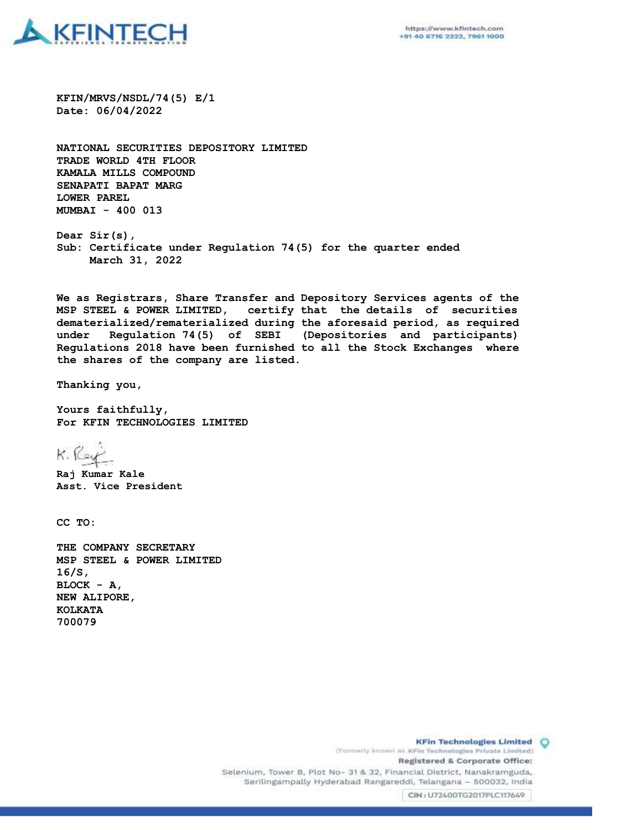

**KFIN/MRVS/NSDL/74(5) E/1 Date: 06/04/2022**

**NATIONAL SECURITIES DEPOSITORY LIMITED TRADE WORLD 4TH FLOOR KAMALA MILLS COMPOUND SENAPATI BAPAT MARG LOWER PAREL MUMBAI - 400 013**

**Dear Sir(s), Sub: Certificate under Regulation 74(5) for the quarter ended March 31, 2022**

**We as Registrars, Share Transfer and Depository Services agents of the MSP STEEL & POWER LIMITED, certify that the details of securities dematerialized/rematerialized during the aforesaid period, as required under Regulation 74(5) of SEBI (Depositories and participants) Regulations 2018 have been furnished to all the Stock Exchanges where the shares of the company are listed.** 

**Thanking you,**

**Yours faithfully, For KFIN TECHNOLOGIES LIMITED**

 $K.$  Kg

**Raj Kumar Kale Asst. Vice President**

**CC TO:**

**THE COMPANY SECRETARY MSP STEEL & POWER LIMITED 16/S, BLOCK - A, NEW ALIPORE, KOLKATA 700079**

> **KFin Technologies Limited O** (Formerly known as KFin Technologies Private Limited) Registered & Corporate Office: Selenium, Tower B, Plot No- 31 & 32, Financial District, Nanakramguda, Serilingampally Hyderabad Rangareddi, Telangana - 500032, India CIN: U72400TG2017PLC117649